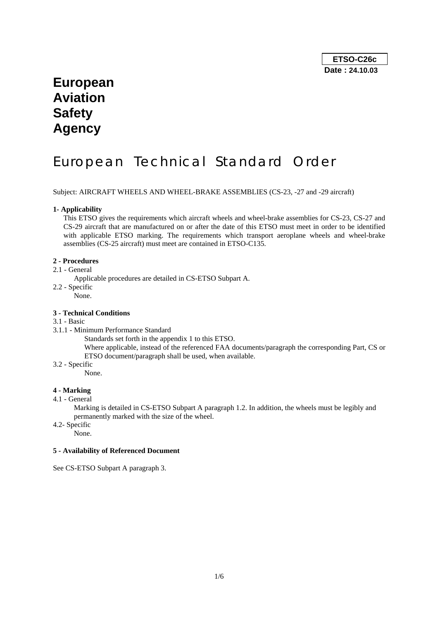## **European Aviation Safety Agency**

# European Technical Standard Order

Subject: AIRCRAFT WHEELS AND WHEEL-BRAKE ASSEMBLIES (CS-23, -27 and -29 aircraft)

## **1- Applicability**

This ETSO gives the requirements which aircraft wheels and wheel-brake assemblies for CS-23, CS-27 and CS-29 aircraft that are manufactured on or after the date of this ETSO must meet in order to be identified with applicable ETSO marking. The requirements which transport aeroplane wheels and wheel-brake assemblies (CS-25 aircraft) must meet are contained in ETSO-C135.

#### **2 - Procedures**

- 2.1 General
	- Applicable procedures are detailed in CS-ETSO Subpart A.
- 2.2 Specific

None.

## **3 - Technical Conditions**

## 3.1 - Basic

3.1.1 - Minimum Performance Standard

Standards set forth in the appendix 1 to this ETSO.

- Where applicable, instead of the referenced FAA documents/paragraph the corresponding Part, CS or ETSO document/paragraph shall be used, when available.
- 3.2 Specific

None.

## **4 - Marking**

## 4.1 - General

Marking is detailed in CS-ETSO Subpart A paragraph 1.2. In addition, the wheels must be legibly and permanently marked with the size of the wheel.

4.2- Specific

None.

## **5 - Availability of Referenced Document**

See CS-ETSO Subpart A paragraph 3.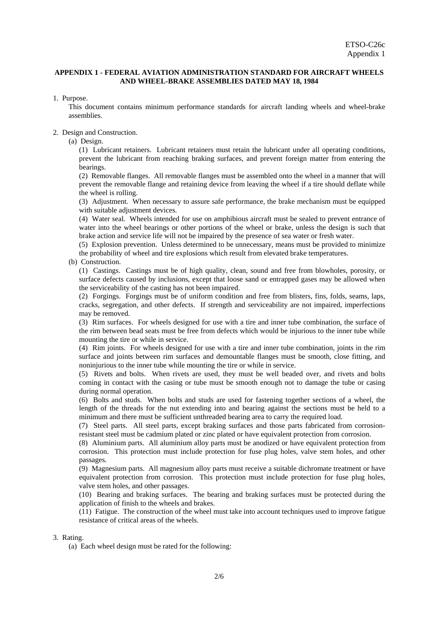## **APPENDIX 1 - FEDERAL AVIATION ADMINISTRATION STANDARD FOR AIRCRAFT WHEELS AND WHEEL-BRAKE ASSEMBLIES DATED MAY 18, 1984**

### 1. Purpose.

 This document contains minimum performance standards for aircraft landing wheels and wheel-brake assemblies.

#### 2. Design and Construction.

(a) Design.

 (1) Lubricant retainers. Lubricant retainers must retain the lubricant under all operating conditions, prevent the lubricant from reaching braking surfaces, and prevent foreign matter from entering the bearings.

 (2) Removable flanges. All removable flanges must be assembled onto the wheel in a manner that will prevent the removable flange and retaining device from leaving the wheel if a tire should deflate while the wheel is rolling.

 (3) Adjustment. When necessary to assure safe performance, the brake mechanism must be equipped with suitable adjustment devices.

 (4) Water seal. Wheels intended for use on amphibious aircraft must be sealed to prevent entrance of water into the wheel bearings or other portions of the wheel or brake, unless the design is such that brake action and service life will not be impaired by the presence of sea water or fresh water.

 (5) Explosion prevention. Unless determined to be unnecessary, means must be provided to minimize the probability of wheel and tire explosions which result from elevated brake temperatures.

(b) Construction.

 (1) Castings. Castings must be of high quality, clean, sound and free from blowholes, porosity, or surface defects caused by inclusions, except that loose sand or entrapped gases may be allowed when the serviceability of the casting has not been impaired.

 (2) Forgings. Forgings must be of uniform condition and free from blisters, fins, folds, seams, laps, cracks, segregation, and other defects. If strength and serviceability are not impaired, imperfections may be removed.

 (3) Rim surfaces. For wheels designed for use with a tire and inner tube combination, the surface of the rim between bead seats must be free from defects which would be injurious to the inner tube while mounting the tire or while in service.

 (4) Rim joints. For wheels designed for use with a tire and inner tube combination, joints in the rim surface and joints between rim surfaces and demountable flanges must be smooth, close fitting, and noninjurious to the inner tube while mounting the tire or while in service.

 (5) Rivets and bolts. When rivets are used, they must be well beaded over, and rivets and bolts coming in contact with the casing or tube must be smooth enough not to damage the tube or casing during normal operation.

 (6) Bolts and studs. When bolts and studs are used for fastening together sections of a wheel, the length of the threads for the nut extending into and bearing against the sections must be held to a minimum and there must be sufficient unthreaded bearing area to carry the required load.

 (7) Steel parts. All steel parts, except braking surfaces and those parts fabricated from corrosionresistant steel must be cadmium plated or zinc plated or have equivalent protection from corrosion.

 (8) Aluminium parts. All aluminium alloy parts must be anodized or have equivalent protection from corrosion. This protection must include protection for fuse plug holes, valve stem holes, and other passages.

 (9) Magnesium parts. All magnesium alloy parts must receive a suitable dichromate treatment or have equivalent protection from corrosion. This protection must include protection for fuse plug holes, valve stem holes, and other passages.

 (10) Bearing and braking surfaces. The bearing and braking surfaces must be protected during the application of finish to the wheels and brakes.

 (11) Fatigue. The construction of the wheel must take into account techniques used to improve fatigue resistance of critical areas of the wheels.

## 3. Rating.

(a) Each wheel design must be rated for the following: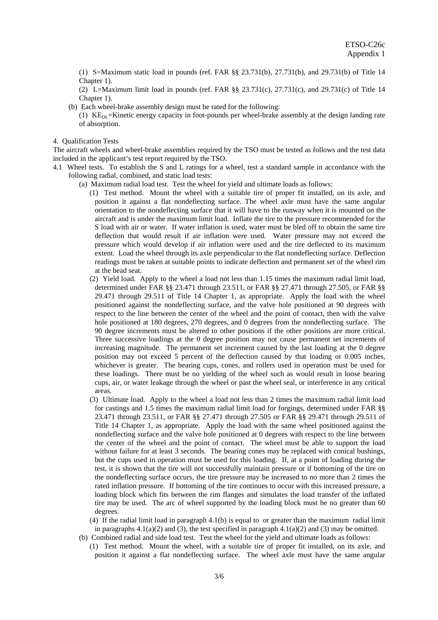(1) S=Maximum static load in pounds (ref. FAR §§ 23.731(b), 27.731(b), and 29.731(b) of Title 14 Chapter 1).

 (2) L=Maximum limit load in pounds (ref. FAR §§ 23.731(c), 27.731(c), and 29.731(c) of Title 14 Chapter 1).

- (b) Each wheel-brake assembly design must be rated for the following: (1)  $KE<sub>DI</sub> = Kinetic energy capacity in foot-pounds per wheel-brake assembly at the design landing rate$ of absorption.
- 4. Qualification Tests

The aircraft wheels and wheel-brake assemblies required by the TSO must be tested as follows and the test data included in the applicant's test report required by the TSO.

- 4.1 Wheel tests. To establish the S and L ratings for a wheel, test a standard sample in accordance with the following radial, combined, and static load tests:
	- (a) Maximum radial load test. Test the wheel for yield and ultimate loads as follows:
		- (1) Test method. Mount the wheel with a suitable tire of proper fit installed, on its axle, and position it against a flat nondeflecting surface. The wheel axle must have the same angular orientation to the nondeflecting surface that it will have to the runway when it is mounted on the aircraft and is under the maximum limit load. Inflate the tire to the pressure recommended for the S load with air or water. If water inflation is used, water must be bled off to obtain the same tire deflection that would result if air inflation were used. Water pressure may not exceed the pressure which would develop if air inflation were used and the tire deflected to its maximum extent. Load the wheel through its axle perpendicular to the flat nondeflecting surface. Deflection readings must be taken at suitable points to indicate deflection and permanent set of the wheel rim at the bead seat.
		- (2) Yield load. Apply to the wheel a load not less than 1.15 times the maximum radial limit load, determined under FAR §§ 23.471 through 23.511, or FAR §§ 27.471 through 27.505, or FAR §§ 29.471 through 29.511 of Title 14 Chapter 1, as appropriate. Apply the load with the wheel positioned against the nondeflecting surface, and the valve hole positioned at 90 degrees with respect to the line between the center of the wheel and the point of contact, then with the valve hole positioned at 180 degrees, 270 degrees, and 0 degrees from the nondeflecting surface. The 90 degree increments must be altered to other positions if the other positions are more critical. Three successive loadings at the 0 degree position may not cause permanent set increments of increasing magnitude. The permanent set increment caused by the last loading at the 0 degree position may not exceed 5 percent of the deflection caused by that loading or 0.005 inches, whichever is greater. The bearing cups, cones, and rollers used in operation must be used for these loadings. There must be no yielding of the wheel such as would result in loose bearing cups, air, or water leakage through the wheel or past the wheel seal, or interference in any critical areas.
		- (3) Ultimate load. Apply to the wheel a load not less than 2 times the maximum radial limit load for castings and 1.5 times the maximum radial limit load for forgings, determined under FAR §§ 23.471 through 23.511, or FAR §§ 27.471 through 27.505 or FAR §§ 29.471 through 29.511 of Title 14 Chapter 1, as appropriate. Apply the load with the same wheel positioned against the nondeflecting surface and the valve hole positioned at 0 degrees with respect to the line between the center of the wheel and the point of contact. The wheel must be able to support the load without failure for at least 3 seconds. The bearing cones may be replaced with conical bushings, but the cups used in operation must be used for this loading. If, at a point of loading during the test, it is shown that the tire will not successfully maintain pressure or if bottoming of the tire on the nondeflecting surface occurs, the tire pressure may be increased to no more than 2 times the rated inflation pressure. If bottoming of the tire continues to occur with this increased pressure, a loading block which fits between the rim flanges and simulates the load transfer of the inflated tire may be used. The arc of wheel supported by the loading block must be no greater than 60 degrees.
		- (4) If the radial limit load in paragraph 4.1(b) is equal to or greater than the maximum radial limit in paragraphs 4.1(a)(2) and (3), the test specified in paragraph 4.1(a)(2) and (3) may be omitted.
	- (b) Combined radial and side load test. Test the wheel for the yield and ultimate loads as follows:
		- (1) Test method. Mount the wheel, with a suitable tire of proper fit installed, on its axle, and position it against a flat nondeflecting surface. The wheel axle must have the same angular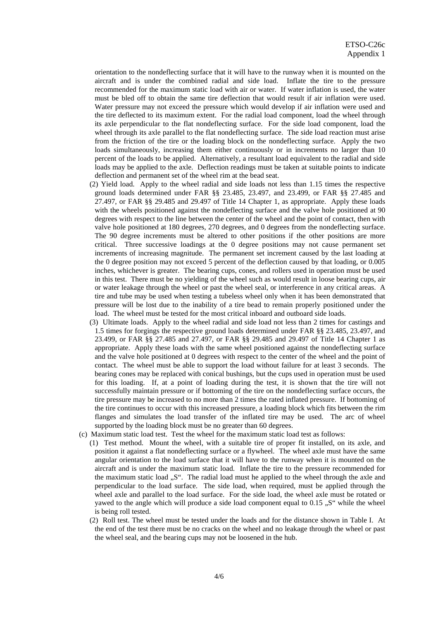orientation to the nondeflecting surface that it will have to the runway when it is mounted on the aircraft and is under the combined radial and side load. Inflate the tire to the pressure recommended for the maximum static load with air or water. If water inflation is used, the water must be bled off to obtain the same tire deflection that would result if air inflation were used. Water pressure may not exceed the pressure which would develop if air inflation were used and the tire deflected to its maximum extent. For the radial load component, load the wheel through its axle perpendicular to the flat nondeflecting surface. For the side load component, load the wheel through its axle parallel to the flat nondeflecting surface. The side load reaction must arise from the friction of the tire or the loading block on the nondeflecting surface. Apply the two loads simultaneously, increasing them either continuously or in increments no larger than 10 percent of the loads to be applied. Alternatively, a resultant load equivalent to the radial and side loads may be applied to the axle. Deflection readings must be taken at suitable points to indicate deflection and permanent set of the wheel rim at the bead seat.

- (2) Yield load. Apply to the wheel radial and side loads not less than 1.15 times the respective ground loads determined under FAR §§ 23.485, 23.497, and 23.499, or FAR §§ 27.485 and 27.497, or FAR §§ 29.485 and 29.497 of Title 14 Chapter 1, as appropriate. Apply these loads with the wheels positioned against the nondeflecting surface and the valve hole positioned at 90 degrees with respect to the line between the center of the wheel and the point of contact, then with valve hole positioned at 180 degrees, 270 degrees, and 0 degrees from the nondeflecting surface. The 90 degree increments must be altered to other positions if the other positions are more critical. Three successive loadings at the 0 degree positions may not cause permanent set increments of increasing magnitude. The permanent set increment caused by the last loading at the 0 degree position may not exceed 5 percent of the deflection caused by that loading, or 0.005 inches, whichever is greater. The bearing cups, cones, and rollers used in operation must be used in this test. There must be no yielding of the wheel such as would result in loose bearing cups, air or water leakage through the wheel or past the wheel seal, or interference in any critical areas. A tire and tube may be used when testing a tubeless wheel only when it has been demonstrated that pressure will be lost due to the inability of a tire bead to remain properly positioned under the load. The wheel must be tested for the most critical inboard and outboard side loads.
- (3) Ultimate loads. Apply to the wheel radial and side load not less than 2 times for castings and 1.5 times for forgings the respective ground loads determined under FAR §§ 23.485, 23.497, and 23.499, or FAR §§ 27.485 and 27.497, or FAR §§ 29.485 and 29.497 of Title 14 Chapter 1 as appropriate. Apply these loads with the same wheel positioned against the nondeflecting surface and the valve hole positioned at 0 degrees with respect to the center of the wheel and the point of contact. The wheel must be able to support the load without failure for at least 3 seconds. The bearing cones may be replaced with conical bushings, but the cups used in operation must be used for this loading. If, at a point of loading during the test, it is shown that the tire will not successfully maintain pressure or if bottoming of the tire on the nondeflecting surface occurs, the tire pressure may be increased to no more than 2 times the rated inflated pressure. If bottoming of the tire continues to occur with this increased pressure, a loading block which fits between the rim flanges and simulates the load transfer of the inflated tire may be used. The arc of wheel supported by the loading block must be no greater than 60 degrees.
- (c) Maximum static load test. Test the wheel for the maximum static load test as follows:
	- (1) Test method. Mount the wheel, with a suitable tire of proper fit installed, on its axle, and position it against a flat nondeflecting surface or a flywheel. The wheel axle must have the same angular orientation to the load surface that it will have to the runway when it is mounted on the aircraft and is under the maximum static load. Inflate the tire to the pressure recommended for the maximum static load "S". The radial load must he applied to the wheel through the axle and perpendicular to the load surface. The side load, when required, must be applied through the wheel axle and parallel to the load surface. For the side load, the wheel axle must be rotated or yawed to the angle which will produce a side load component equal to  $0.15$   $\ldots$  while the wheel is being roll tested.
	- (2) Roll test. The wheel must be tested under the loads and for the distance shown in Table I. At the end of the test there must be no cracks on the wheel and no leakage through the wheel or past the wheel seal, and the bearing cups may not be loosened in the hub.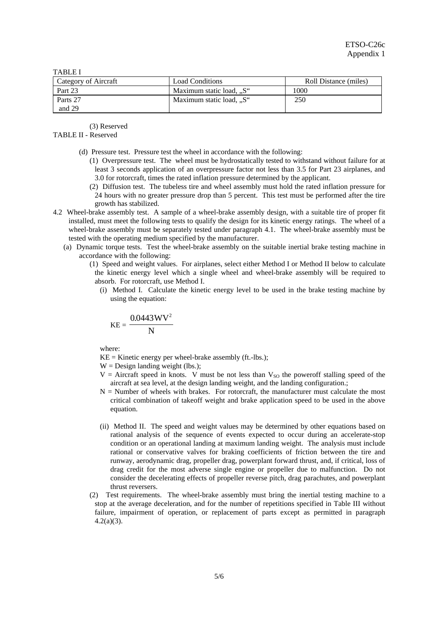TABLE I

| Category of Aircraft | <b>Load Conditions</b>   | Roll Distance (miles) |
|----------------------|--------------------------|-----------------------|
| Part 23              | Maximum static load, "S" | 1000                  |
| Parts 27             | Maximum static load, "S" | 250                   |
| and 29               |                          |                       |

(3) Reserved

## TABLE II - Reserved

- (d) Pressure test. Pressure test the wheel in accordance with the following:
	- (1) Overpressure test. The wheel must be hydrostatically tested to withstand without failure for at least 3 seconds application of an overpressure factor not less than 3.5 for Part 23 airplanes, and 3.0 for rotorcraft, times the rated inflation pressure determined by the applicant.
	- (2) Diffusion test. The tubeless tire and wheel assembly must hold the rated inflation pressure for 24 hours with no greater pressure drop than 5 percent. This test must be performed after the tire growth has stabilized.
- 4.2 Wheel-brake assembly test. A sample of a wheel-brake assembly design, with a suitable tire of proper fit installed, must meet the following tests to qualify the design for its kinetic energy ratings. The wheel of a wheel-brake assembly must be separately tested under paragraph 4.1. The wheel-brake assembly must be tested with the operating medium specified by the manufacturer.
	- (a) Dynamic torque tests. Test the wheel-brake assembly on the suitable inertial brake testing machine in accordance with the following:
		- (1) Speed and weight values. For airplanes, select either Method I or Method II below to calculate the kinetic energy level which a single wheel and wheel-brake assembly will be required to absorb. For rotorcraft, use Method I.
			- (i) Method I. Calculate the kinetic energy level to be used in the brake testing machine by using the equation:

$$
KE = \frac{0.0443 \, WV^2}{N}
$$

where:

 $KE =$ Kinetic energy per wheel-brake assembly (ft.-lbs.);

 $W =$  Design landing weight (lbs.);

- $V =$  Aircraft speed in knots. V must be not less than  $V_{SO}$  the poweroff stalling speed of the aircraft at sea level, at the design landing weight, and the landing configuration.;
- $N =$  Number of wheels with brakes. For rotorcraft, the manufacturer must calculate the most critical combination of takeoff weight and brake application speed to be used in the above equation.
- (ii) Method II. The speed and weight values may be determined by other equations based on rational analysis of the sequence of events expected to occur during an accelerate-stop condition or an operational landing at maximum landing weight. The analysis must include rational or conservative valves for braking coefficients of friction between the tire and runway, aerodynamic drag, propeller drag, powerplant forward thrust, and, if critical, loss of drag credit for the most adverse single engine or propeller due to malfunction. Do not consider the decelerating effects of propeller reverse pitch, drag parachutes, and powerplant thrust reversers.
- (2) Test requirements. The wheel-brake assembly must bring the inertial testing machine to a stop at the average deceleration, and for the number of repetitions specified in Table III without failure, impairment of operation, or replacement of parts except as permitted in paragraph 4.2(a)(3).